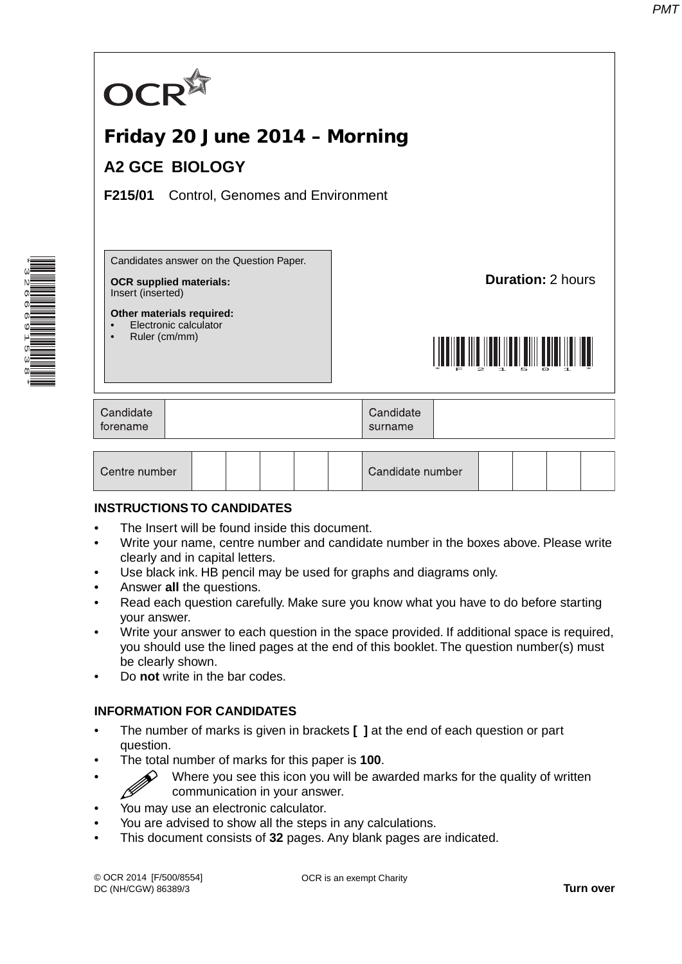

### **INSTRUCTIONS TO CANDIDATES**

- The Insert will be found inside this document.
- Write your name, centre number and candidate number in the boxes above. Please write clearly and in capital letters.
- Use black ink. HB pencil may be used for graphs and diagrams only.
- Answer **all** the questions.

\*3266691538\*

- Read each question carefully. Make sure you know what you have to do before starting your answer.
- Write your answer to each question in the space provided. If additional space is required, you should use the lined pages at the end of this booklet. The question number(s) must be clearly shown.
- Do **not** write in the bar codes.

## **INFORMATION FOR CANDIDATES**

- The number of marks is given in brackets **[ ]** at the end of each question or part question.
- The total number of marks for this paper is **100**.
	- $\diamondsuit$  Where you see this icon you will be awarded marks for the quality of written communication in your answer.
- You may use an electronic calculator.
- You are advised to show all the steps in any calculations.
- This document consists of **32** pages. Any blank pages are indicated.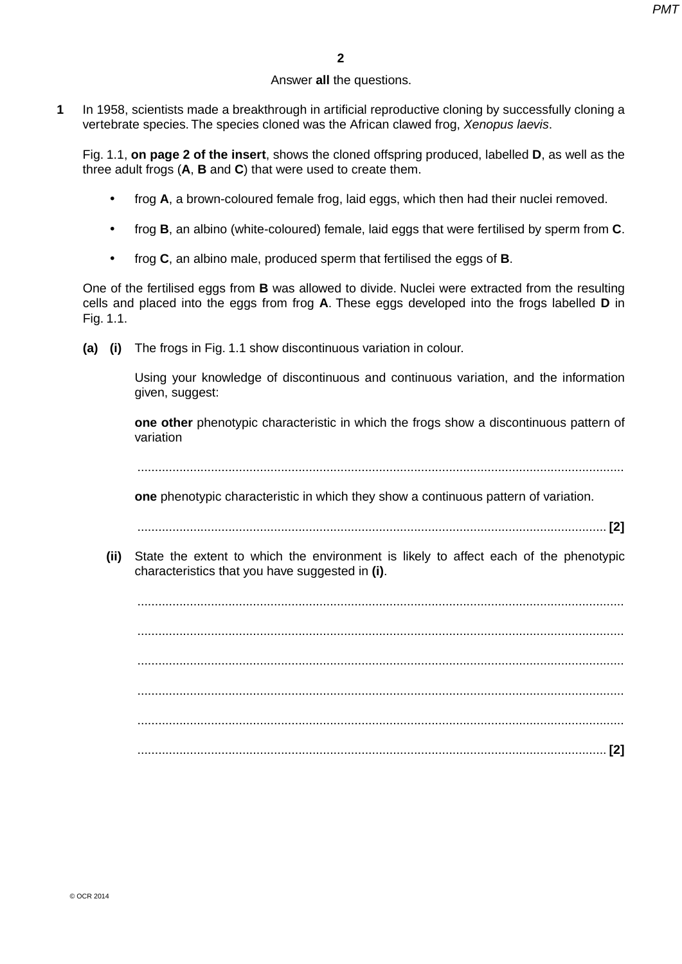# Answer **all** the questions.

**1** In 1958, scientists made a breakthrough in artificial reproductive cloning by successfully cloning a vertebrate species. The species cloned was the African clawed frog, *Xenopus laevis*.

Fig. 1.1, **on page 2 of the insert**, shows the cloned offspring produced, labelled **D**, as well as the three adult frogs (**A**, **B** and **C**) that were used to create them.

- frog **A**, a brown-coloured female frog, laid eggs, which then had their nuclei removed.
- frog **B**, an albino (white-coloured) female, laid eggs that were fertilised by sperm from **C**.
- frog **C**, an albino male, produced sperm that fertilised the eggs of **B**.

One of the fertilised eggs from **B** was allowed to divide. Nuclei were extracted from the resulting cells and placed into the eggs from frog **A**. These eggs developed into the frogs labelled **D** in Fig. 1.1.

 **(a) (i)** The frogs in Fig. 1.1 show discontinuous variation in colour.

Using your knowledge of discontinuous and continuous variation, and the information given, suggest:

 **one other** phenotypic characteristic in which the frogs show a discontinuous pattern of variation

...........................................................................................................................................

 **one** phenotypic characteristic in which they show a continuous pattern of variation.

...................................................................................................................................... **[2]**

 **(ii)** State the extent to which the environment is likely to affect each of the phenotypic characteristics that you have suggested in **(i)**.

 ........................................................................................................................................... ........................................................................................................................................... ........................................................................................................................................... ........................................................................................................................................... ........................................................................................................................................... ...................................................................................................................................... **[2]**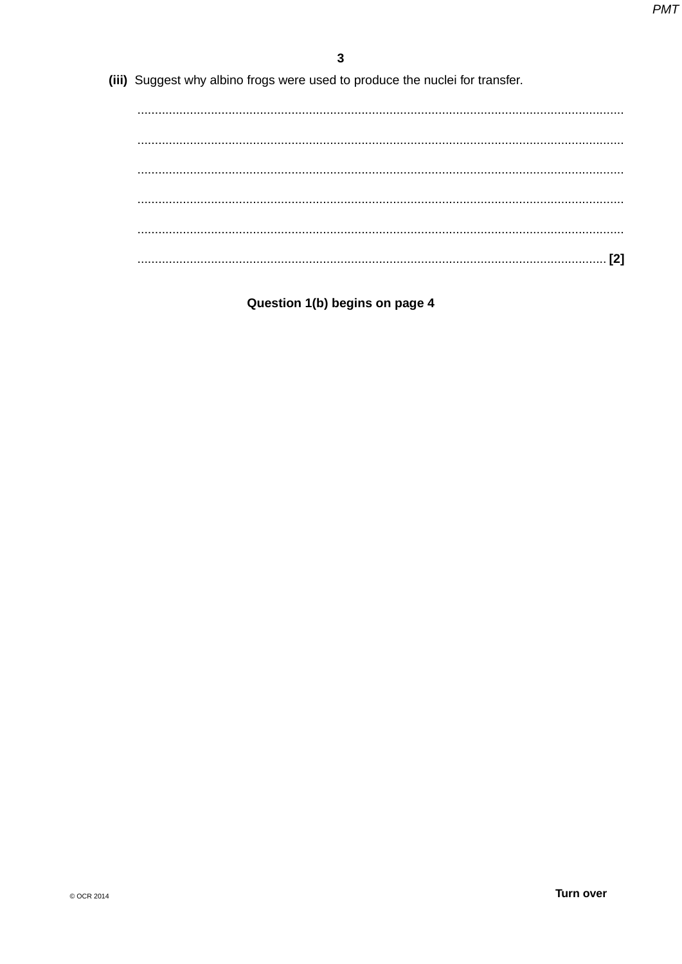(iii) Suggest why albino frogs were used to produce the nuclei for transfer.

Question 1(b) begins on page 4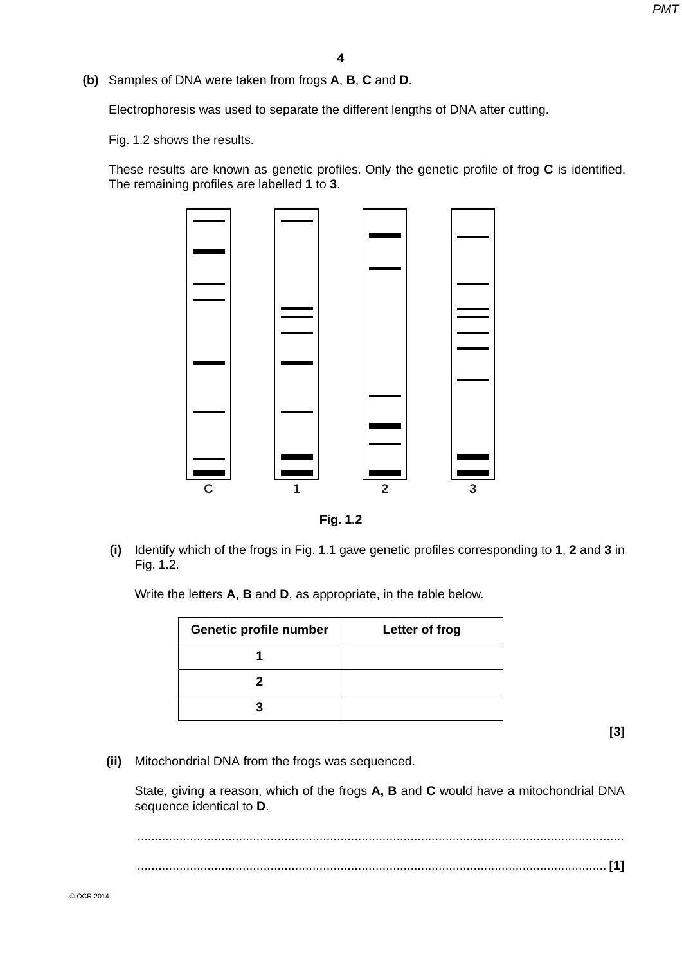**(b)** Samples of DNA were taken from frogs **A**, **B**, **C** and **D**.

Electrophoresis was used to separate the different lengths of DNA after cutting.

Fig. 1.2 shows the results.

These results are known as genetic profiles. Only the genetic profile of frog **C** is identified. The remaining profiles are labelled **1** to **3**.





 **(i)** Identify which of the frogs in Fig. 1.1 gave genetic profiles corresponding to **1**, **2** and **3** in Fig. 1.2.

Write the letters **A**, **B** and **D**, as appropriate, in the table below.

| Genetic profile number | Letter of frog |
|------------------------|----------------|
|                        |                |
|                        |                |
|                        |                |

**[3]**

 **(ii)** Mitochondrial DNA from the frogs was sequenced.

State, giving a reason, which of the frogs **A, B** and **C** would have a mitochondrial DNA sequence identical to **D**.

 ........................................................................................................................................... ...................................................................................................................................... **[1]**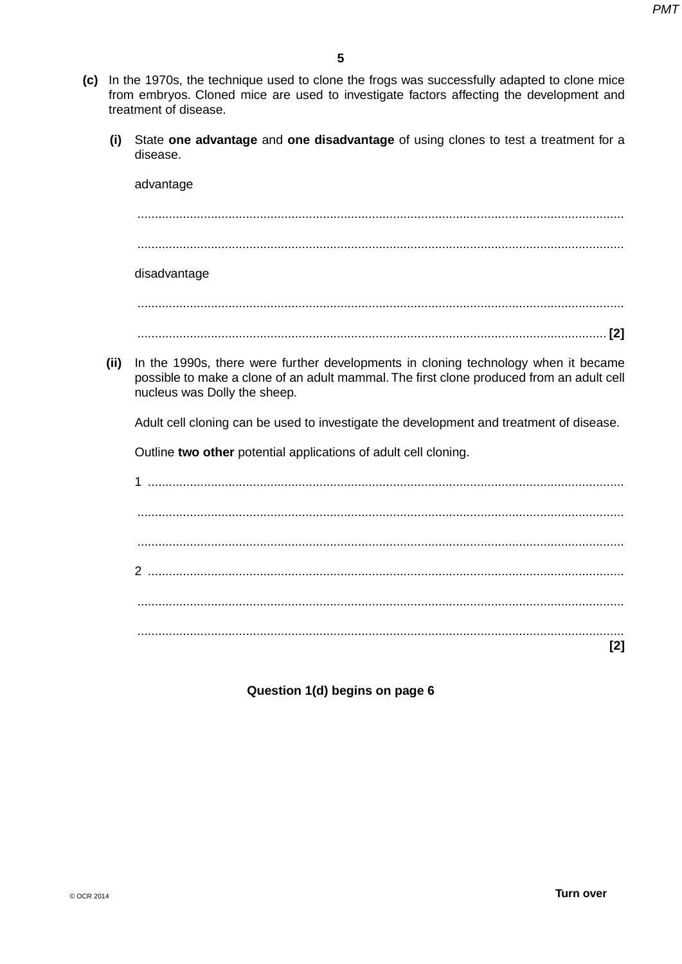- **(c)** In the 1970s, the technique used to clone the frogs was successfully adapted to clone mice from embryos. Cloned mice are used to investigate factors affecting the development and treatment of disease.
	- **(i)** State **one advantage** and **one disadvantage** of using clones to test a treatment for a disease.

|      | advantage                                                                                                                                                                                                      |
|------|----------------------------------------------------------------------------------------------------------------------------------------------------------------------------------------------------------------|
|      |                                                                                                                                                                                                                |
|      | disadvantage                                                                                                                                                                                                   |
|      |                                                                                                                                                                                                                |
|      |                                                                                                                                                                                                                |
| (ii) | In the 1990s, there were further developments in cloning technology when it became<br>possible to make a clone of an adult mammal. The first clone produced from an adult cell<br>nucleus was Dolly the sheep. |
|      | Adult cell cloning can be used to investigate the development and treatment of disease.                                                                                                                        |
|      | Outline two other potential applications of adult cell cloning.                                                                                                                                                |
|      | 1                                                                                                                                                                                                              |
|      |                                                                                                                                                                                                                |
|      |                                                                                                                                                                                                                |
|      |                                                                                                                                                                                                                |
|      |                                                                                                                                                                                                                |
|      | [2]                                                                                                                                                                                                            |

**Question 1(d) begins on page 6**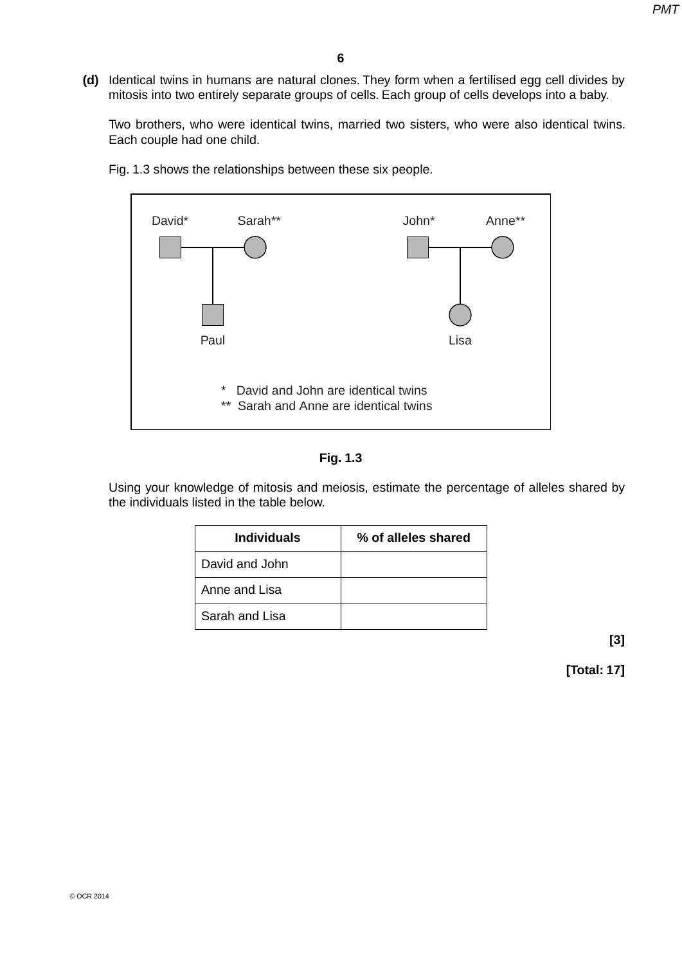**(d)** Identical twins in humans are natural clones. They form when a fertilised egg cell divides by mitosis into two entirely separate groups of cells. Each group of cells develops into a baby.

Two brothers, who were identical twins, married two sisters, who were also identical twins. Each couple had one child.



Fig. 1.3 shows the relationships between these six people.

Using your knowledge of mitosis and meiosis, estimate the percentage of alleles shared by the individuals listed in the table below.

| <b>Individuals</b> | % of alleles shared |
|--------------------|---------------------|
| David and John     |                     |
| Anne and Lisa      |                     |
| Sarah and Lisa     |                     |

**[3]**

**[Total: 17]**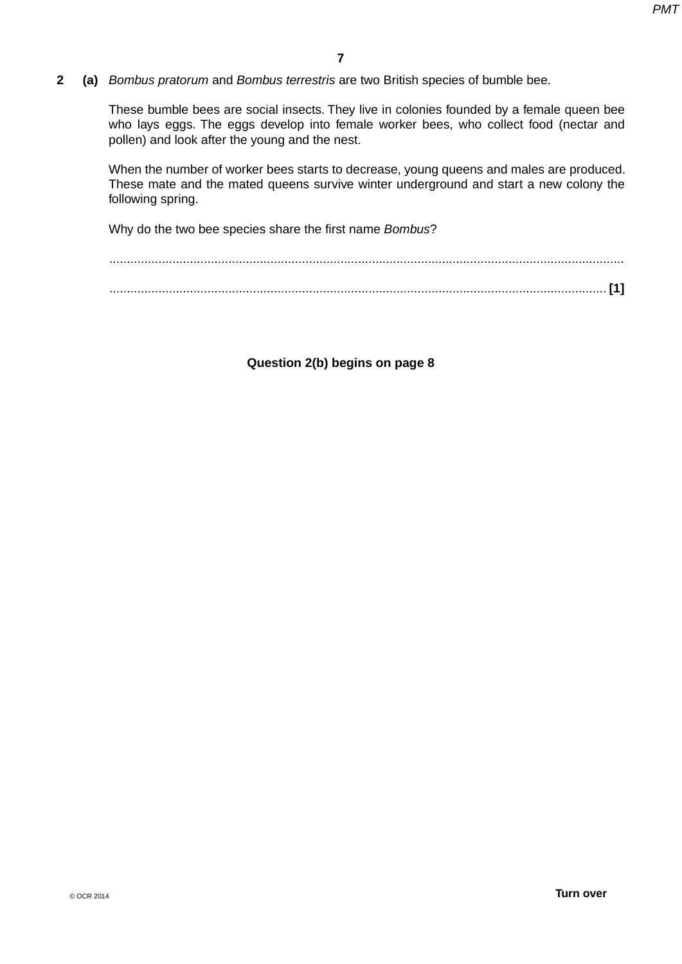**2 (a)** *Bombus pratorum* and *Bombus terrestris* are two British species of bumble bee.

These bumble bees are social insects. They live in colonies founded by a female queen bee who lays eggs. The eggs develop into female worker bees, who collect food (nectar and pollen) and look after the young and the nest.

When the number of worker bees starts to decrease, young queens and males are produced. These mate and the mated queens survive winter underground and start a new colony the following spring.

Why do the two bee species share the first name *Bombus*?

**Question 2(b) begins on page 8**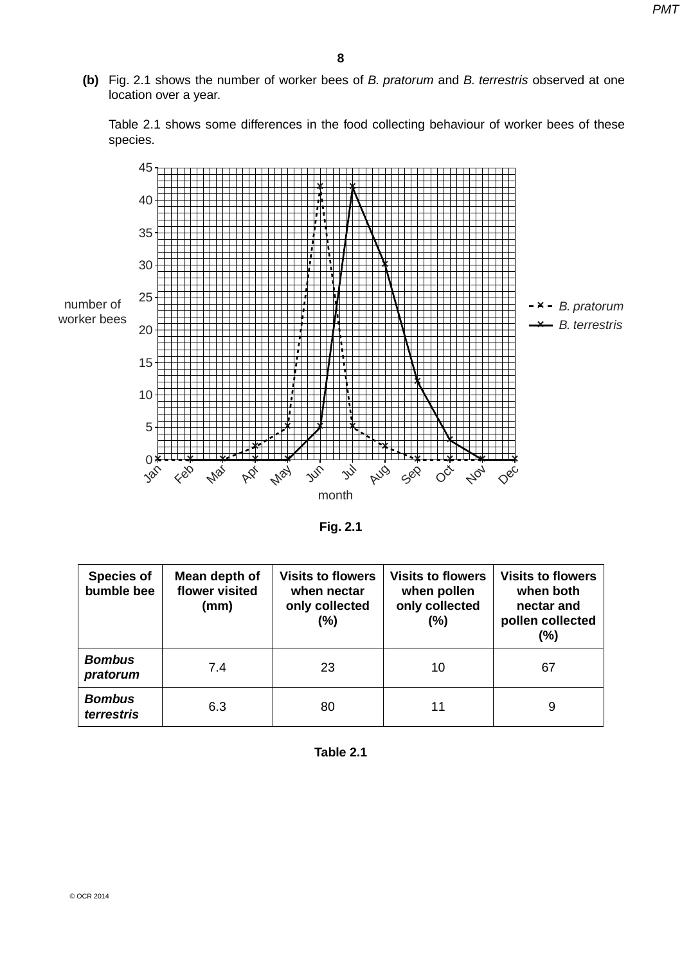**(b)** Fig. 2.1 shows the number of worker bees of *B. pratorum* and *B. terrestris* observed at one location over a year.

Table 2.1 shows some differences in the food collecting behaviour of worker bees of these species.



**Fig. 2.1**

| <b>Species of</b><br>bumble bee | Mean depth of<br>flower visited<br>(mm) | <b>Visits to flowers</b><br>when nectar<br>only collected<br>(%) | <b>Visits to flowers</b><br>when pollen<br>only collected<br>$(\%)$ | <b>Visits to flowers</b><br>when both<br>nectar and<br>pollen collected<br>(%) |
|---------------------------------|-----------------------------------------|------------------------------------------------------------------|---------------------------------------------------------------------|--------------------------------------------------------------------------------|
| <b>Bombus</b><br>pratorum       | 7.4                                     | 23                                                               | 10                                                                  | 67                                                                             |
| <b>Bombus</b><br>terrestris     | 6.3                                     | 80                                                               | 11                                                                  | 9                                                                              |

**Table 2.1**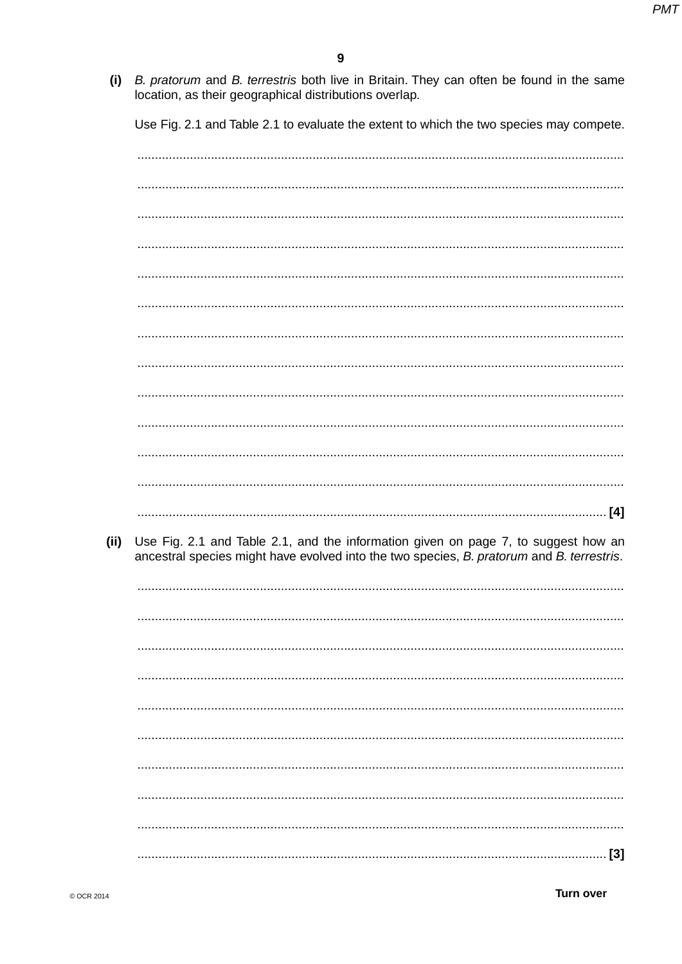$(i)$ B. pratorum and B. terrestris both live in Britain. They can often be found in the same location, as their geographical distributions overlap.

Use Fig. 2.1 and Table 2.1 to evaluate the extent to which the two species may compete.

Use Fig. 2.1 and Table 2.1, and the information given on page 7, to suggest how an  $(ii)$ ancestral species might have evolved into the two species, B. pratorum and B. terrestris. 

**Turn over**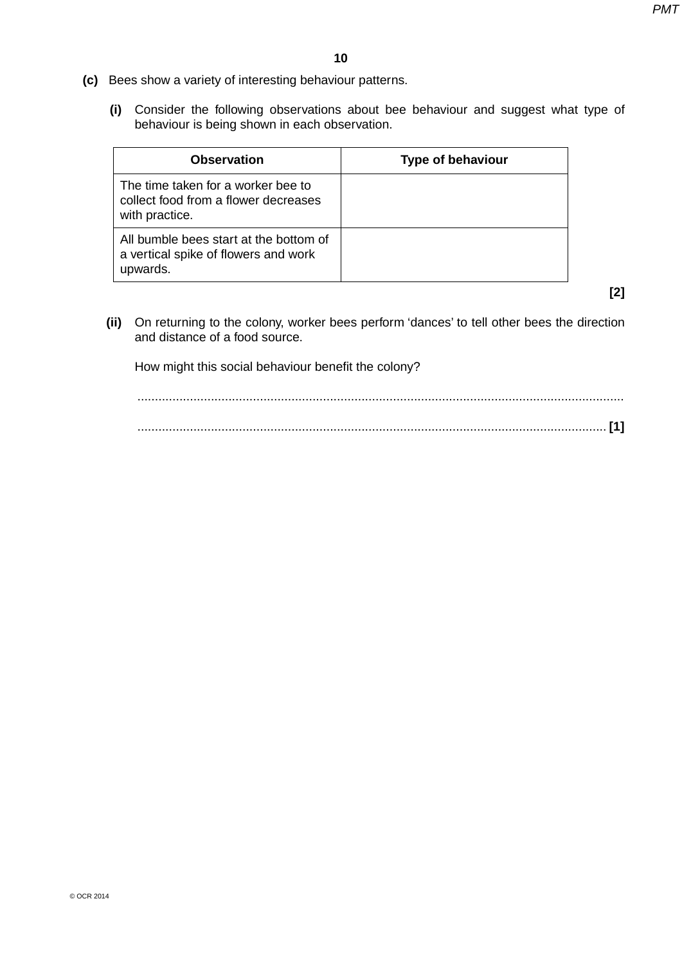- **(c)** Bees show a variety of interesting behaviour patterns.
	- **(i)** Consider the following observations about bee behaviour and suggest what type of behaviour is being shown in each observation.

| <b>Observation</b>                                                                           | <b>Type of behaviour</b> |
|----------------------------------------------------------------------------------------------|--------------------------|
| The time taken for a worker bee to<br>collect food from a flower decreases<br>with practice. |                          |
| All bumble bees start at the bottom of<br>a vertical spike of flowers and work<br>upwards.   |                          |

**[2]**

 **(ii)** On returning to the colony, worker bees perform 'dances' to tell other bees the direction and distance of a food source.

How might this social behaviour benefit the colony?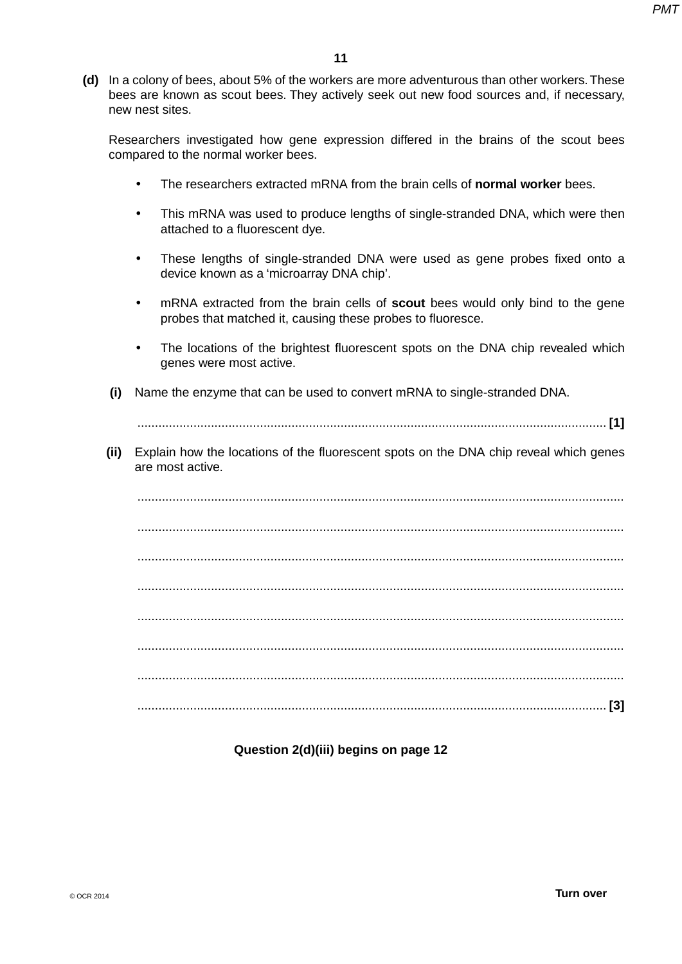**(d)** In a colony of bees, about 5% of the workers are more adventurous than other workers. These bees are known as scout bees. They actively seek out new food sources and, if necessary, new nest sites.

Researchers investigated how gene expression differed in the brains of the scout bees compared to the normal worker bees.

- The researchers extracted mRNA from the brain cells of **normal worker** bees.
- This mRNA was used to produce lengths of single-stranded DNA, which were then attached to a fluorescent dye.
- These lengths of single-stranded DNA were used as gene probes fixed onto a device known as a 'microarray DNA chip'.
- mRNA extracted from the brain cells of **scout** bees would only bind to the gene probes that matched it, causing these probes to fluoresce.
- The locations of the brightest fluorescent spots on the DNA chip revealed which genes were most active.
- **(i)** Name the enzyme that can be used to convert mRNA to single-stranded DNA.

...................................................................................................................................... **[1]**

 **(ii)** Explain how the locations of the fluorescent spots on the DNA chip reveal which genes are most active.

 ........................................................................................................................................... ........................................................................................................................................... ........................................................................................................................................... ........................................................................................................................................... ........................................................................................................................................... ........................................................................................................................................... ........................................................................................................................................... ...................................................................................................................................... **[3]**

### **Question 2(d)(iii) begins on page 12**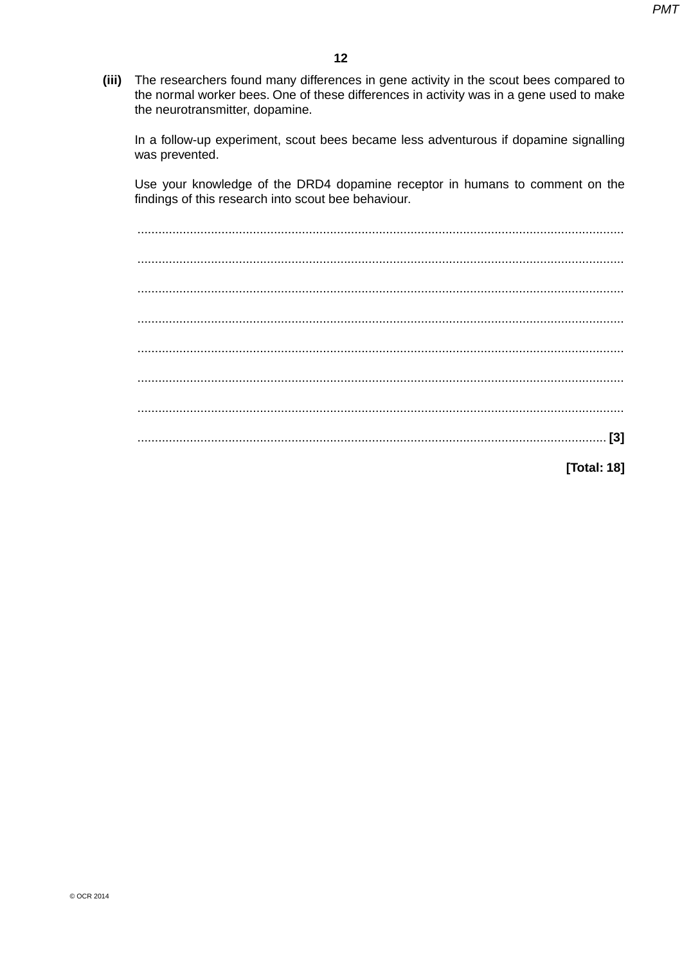$(iii)$ The researchers found many differences in gene activity in the scout bees compared to the normal worker bees. One of these differences in activity was in a gene used to make the neurotransmitter, dopamine.

In a follow-up experiment, scout bees became less adventurous if dopamine signalling was prevented.

Use your knowledge of the DRD4 dopamine receptor in humans to comment on the findings of this research into scout bee behaviour.

[Total: 18]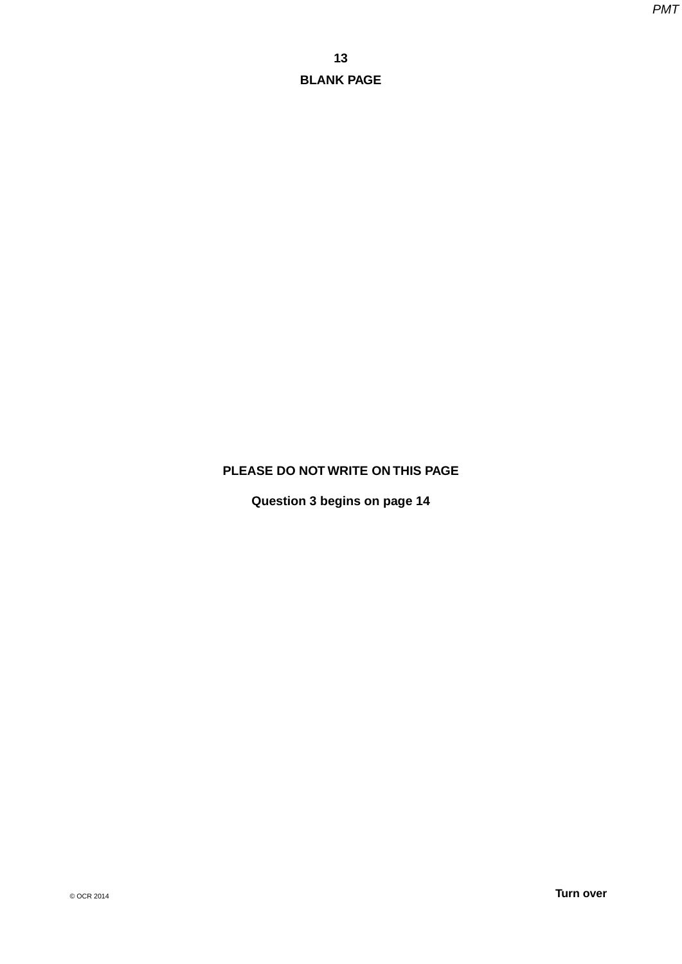# **PLEASE DO NOT WRITE ON THIS PAGE**

**Question 3 begins on page 14**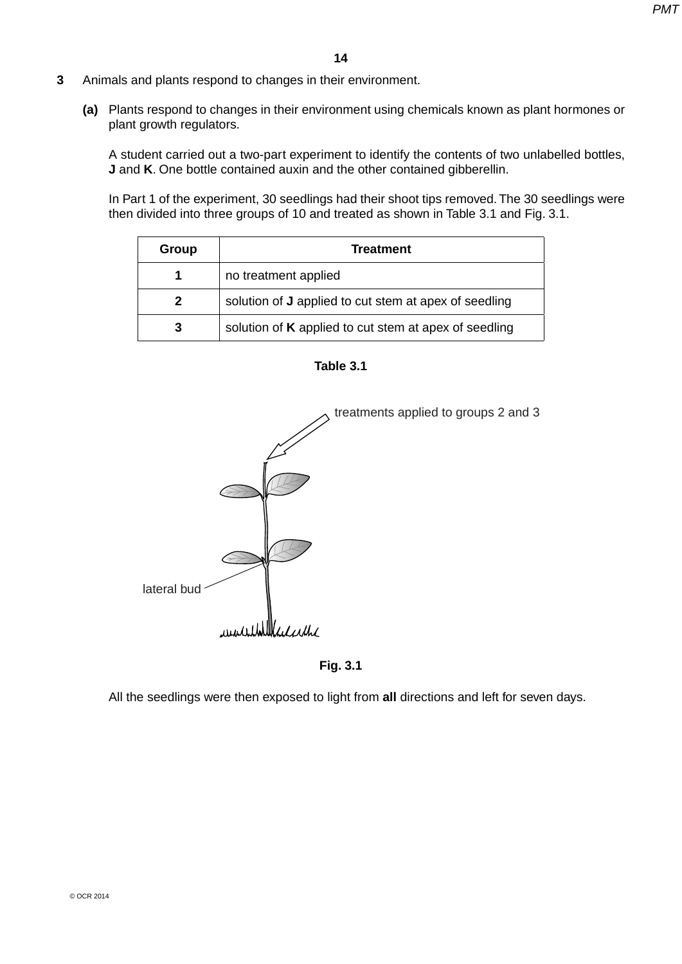- **3** Animals and plants respond to changes in their environment.
	- **(a)** Plants respond to changes in their environment using chemicals known as plant hormones or plant growth regulators.

A student carried out a two-part experiment to identify the contents of two unlabelled bottles, **J** and **K**. One bottle contained auxin and the other contained gibberellin.

In Part 1 of the experiment, 30 seedlings had their shoot tips removed. The 30 seedlings were then divided into three groups of 10 and treated as shown in Table 3.1 and Fig. 3.1.

| Group        | <b>Treatment</b>                                             |  |
|--------------|--------------------------------------------------------------|--|
|              | no treatment applied                                         |  |
| $\mathbf{2}$ | solution of <b>J</b> applied to cut stem at apex of seedling |  |
| 3            | solution of K applied to cut stem at apex of seedling        |  |





**Fig. 3.1**

All the seedlings were then exposed to light from **all** directions and left for seven days.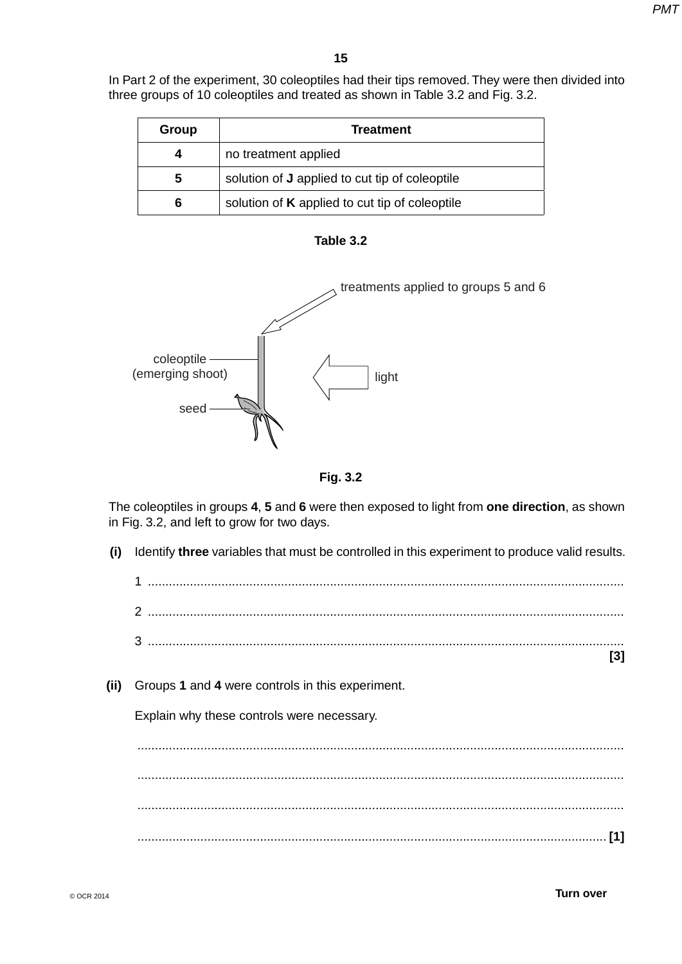In Part 2 of the experiment, 30 coleoptiles had their tips removed. They were then divided into three groups of 10 coleoptiles and treated as shown in Table 3.2 and Fig. 3.2.

| Group | <b>Treatment</b>                                      |  |
|-------|-------------------------------------------------------|--|
| 4     | no treatment applied                                  |  |
| 5     | solution of <b>J</b> applied to cut tip of coleoptile |  |
| 6     | solution of <b>K</b> applied to cut tip of coleoptile |  |







The coleoptiles in groups **4**, **5** and **6** were then exposed to light from **one direction**, as shown in Fig. 3.2, and left to grow for two days.

 **(i)** Identify **three** variables that must be controlled in this experiment to produce valid results. 1 ........................................................................................................................................ 2 ........................................................................................................................................ 3 ........................................................................................................................................ **[3] (ii)** Groups **1** and **4** were controls in this experiment. Explain why these controls were necessary. ........................................................................................................................................... ........................................................................................................................................... ........................................................................................................................................... ...................................................................................................................................... **[1]**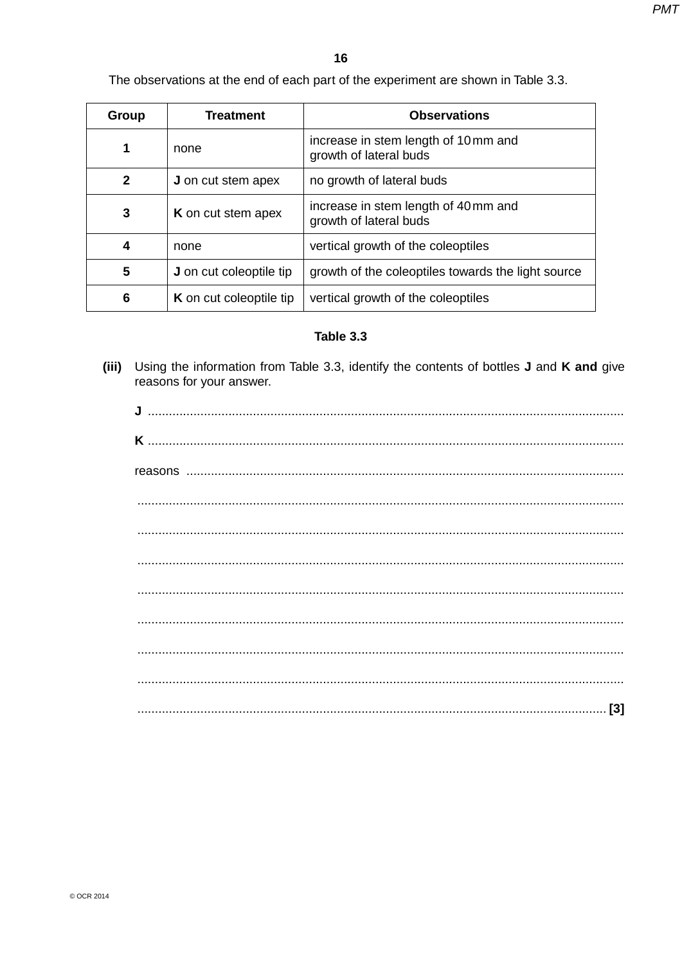The observations at the end of each part of the experiment are shown in Table 3.3.

| Group | <b>Treatment</b>               | <b>Observations</b>                                            |
|-------|--------------------------------|----------------------------------------------------------------|
| 1     | none                           | increase in stem length of 10 mm and<br>growth of lateral buds |
| 2     | <b>J</b> on cut stem apex      | no growth of lateral buds                                      |
| 3     | <b>K</b> on cut stem apex      | increase in stem length of 40 mm and<br>growth of lateral buds |
| 4     | none                           | vertical growth of the coleoptiles                             |
| 5     | <b>J</b> on cut coleoptile tip | growth of the coleoptiles towards the light source             |
| 6     | <b>K</b> on cut coleoptile tip | vertical growth of the coleoptiles                             |

## Table 3.3

(iii) Using the information from Table 3.3, identify the contents of bottles J and K and give reasons for your answer.

| $\begin{minipage}{0.5\textwidth} \begin{tabular}{ l l l } \hline \multicolumn{1}{ l l l } \hline \multicolumn{1}{ l l } \hline \multicolumn{1}{ l l } \hline \multicolumn{1}{ l } \hline \multicolumn{1}{ l } \hline \multicolumn{1}{ l } \hline \multicolumn{1}{ l } \hline \multicolumn{1}{ l } \hline \multicolumn{1}{ l } \hline \multicolumn{1}{ l } \hline \multicolumn{1}{ l } \hline \multicolumn{1}{ l } \hline \multicolumn{1}{ l } \h$ |
|---------------------------------------------------------------------------------------------------------------------------------------------------------------------------------------------------------------------------------------------------------------------------------------------------------------------------------------------------------------------------------------------------------------------------------------------------|
|                                                                                                                                                                                                                                                                                                                                                                                                                                                   |
|                                                                                                                                                                                                                                                                                                                                                                                                                                                   |
|                                                                                                                                                                                                                                                                                                                                                                                                                                                   |
|                                                                                                                                                                                                                                                                                                                                                                                                                                                   |
|                                                                                                                                                                                                                                                                                                                                                                                                                                                   |
|                                                                                                                                                                                                                                                                                                                                                                                                                                                   |
|                                                                                                                                                                                                                                                                                                                                                                                                                                                   |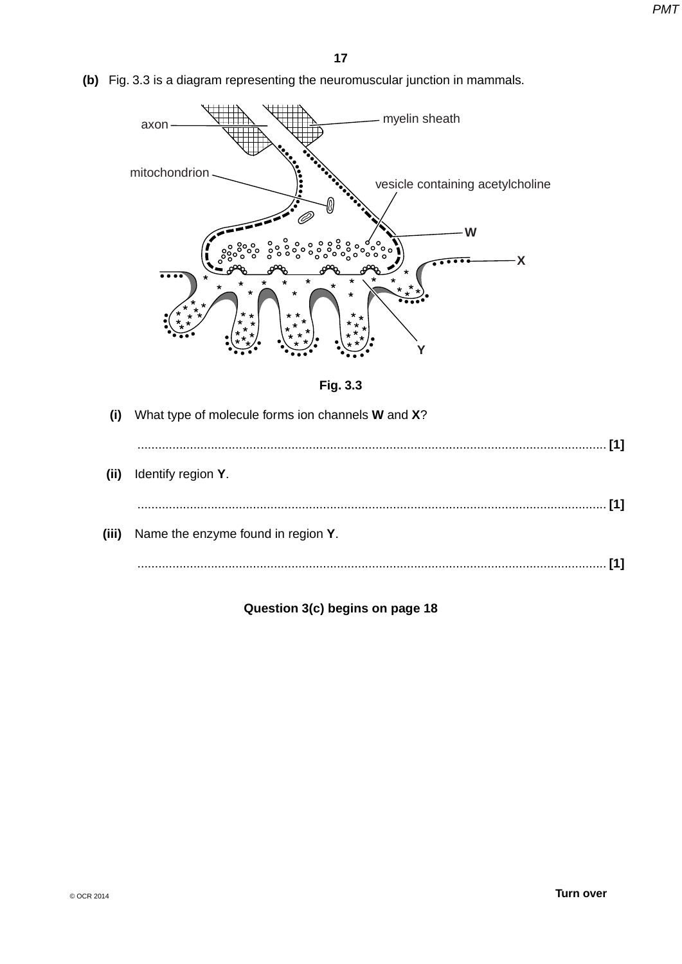**(b)** Fig. 3.3 is a diagram representing the neuromuscular junction in mammals.





| $\mathbf{I}$ | What type of molecule forms ion channels <b>W</b> and <b>X</b> ? |
|--------------|------------------------------------------------------------------|
|              |                                                                  |
| (ii)         | Identify region Y.                                               |
|              |                                                                  |
| (iii)        | Name the enzyme found in region Y.                               |
|              | $[1] \centering \label{def:1}$                                   |
|              |                                                                  |

**Question 3(c) begins on page 18**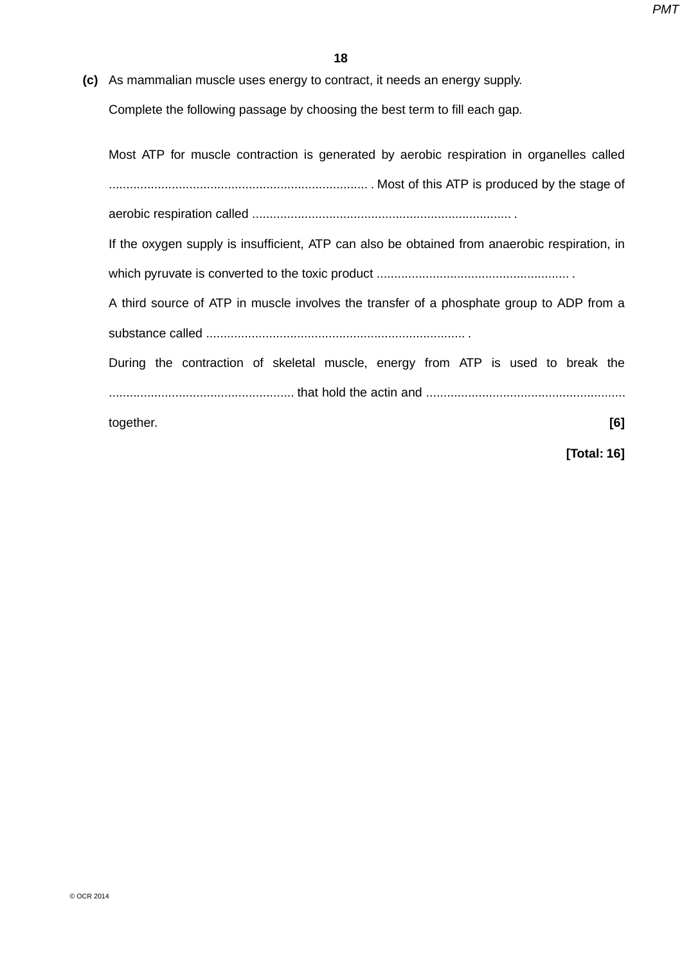**(c)** As mammalian muscle uses energy to contract, it needs an energy supply.

Complete the following passage by choosing the best term to fill each gap.

Most ATP for muscle contraction is generated by aerobic respiration in organelles called .......................................................................... . Most of this ATP is produced by the stage of aerobic respiration called .......................................................................... . If the oxygen supply is insufficient, ATP can also be obtained from anaerobic respiration, in which pyruvate is converted to the toxic product ....................................................... . A third source of ATP in muscle involves the transfer of a phosphate group to ADP from a substance called .......................................................................... . During the contraction of skeletal muscle, energy from ATP is used to break the ..................................................... that hold the actin and ......................................................... together. **[6]**

**[Total: 16]**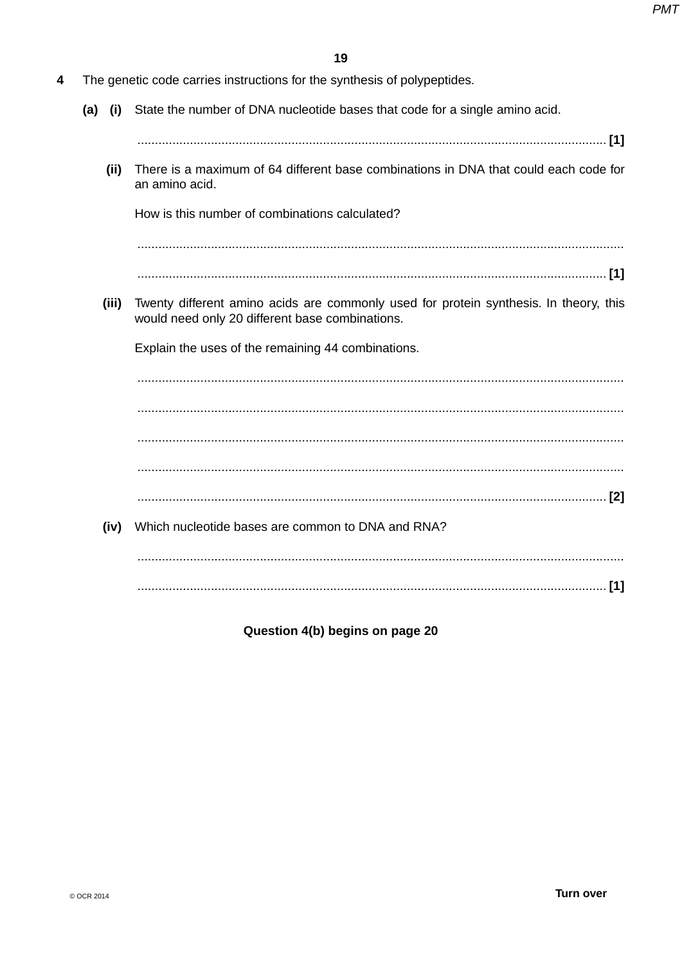- 4 The genetic code carries instructions for the synthesis of polypeptides.
	- State the number of DNA nucleotide bases that code for a single amino acid.  $(a)$   $(i)$ 
		-
		- There is a maximum of 64 different base combinations in DNA that could each code for  $(ii)$ an amino acid.

How is this number of combinations calculated?

(iii) Twenty different amino acids are commonly used for protein synthesis. In theory, this would need only 20 different base combinations.

Explain the uses of the remaining 44 combinations.

(iv) Which nucleotide bases are common to DNA and RNA? 

Question 4(b) begins on page 20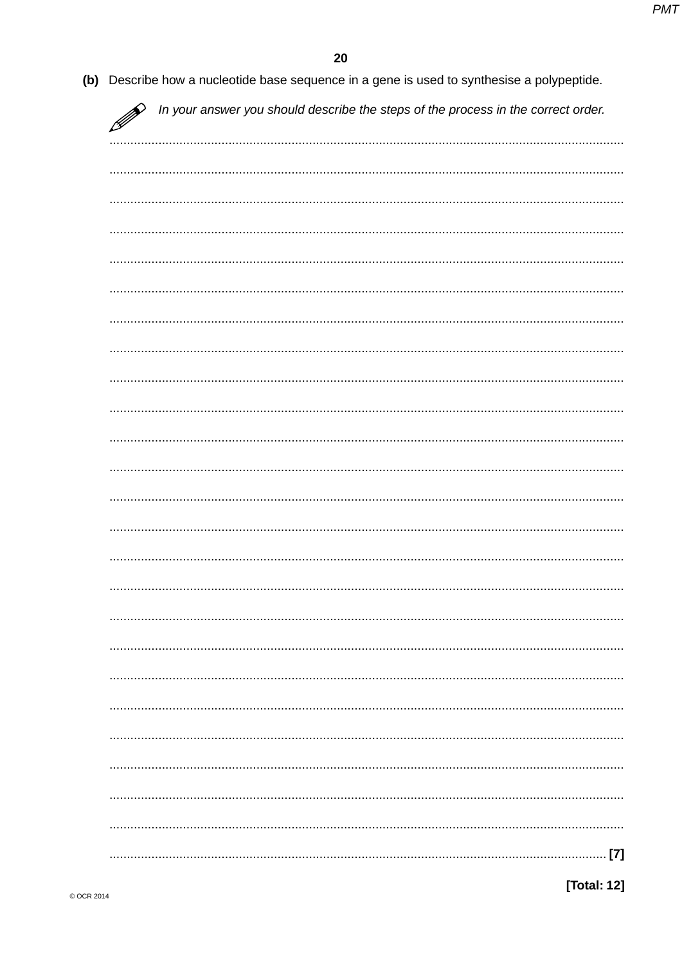| In your answer you should describe the steps of the process in the correct order. |
|-----------------------------------------------------------------------------------|
|                                                                                   |
|                                                                                   |
|                                                                                   |
|                                                                                   |
|                                                                                   |
|                                                                                   |
|                                                                                   |
|                                                                                   |
|                                                                                   |
|                                                                                   |
|                                                                                   |
|                                                                                   |
|                                                                                   |
|                                                                                   |
|                                                                                   |
|                                                                                   |
|                                                                                   |
|                                                                                   |
|                                                                                   |
|                                                                                   |
|                                                                                   |
|                                                                                   |
|                                                                                   |
|                                                                                   |
| $\ldots$ [7]                                                                      |

[Total: 12]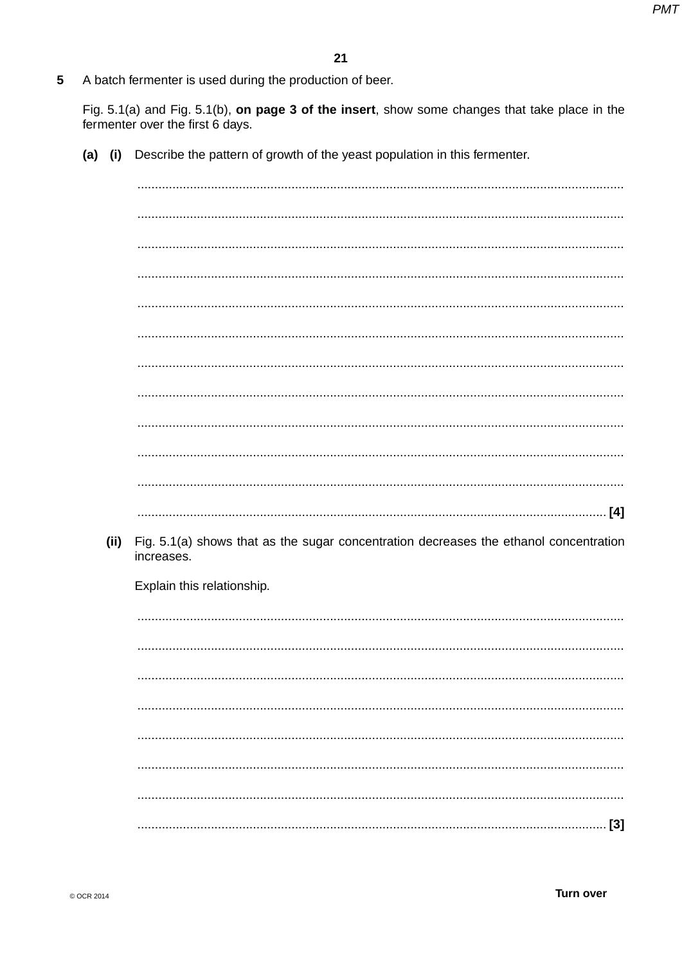5 A batch fermenter is used during the production of beer.

Fig. 5.1(a) and Fig. 5.1(b), on page 3 of the insert, show some changes that take place in the fermenter over the first 6 days.

(a) (i) Describe the pattern of growth of the yeast population in this fermenter.

 $(ii)$ Fig. 5.1(a) shows that as the sugar concentration decreases the ethanol concentration increases. Explain this relationship.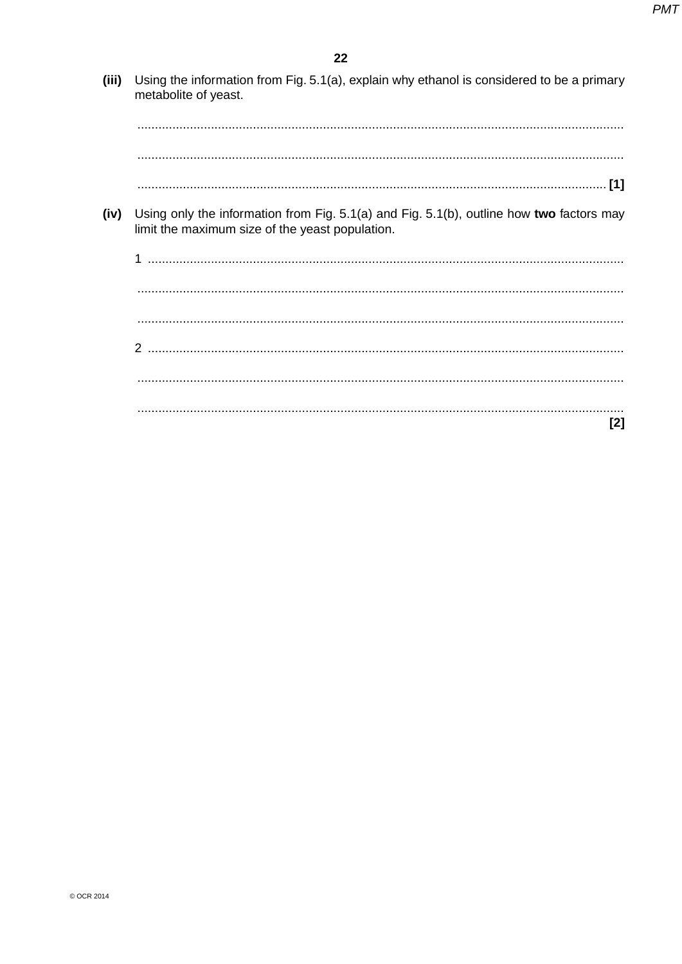(iii) Using the information from Fig. 5.1(a), explain why ethanol is considered to be a primary metabolite of yeast.

(iv) Using only the information from Fig. 5.1(a) and Fig. 5.1(b), outline how two factors may limit the maximum size of the yeast population.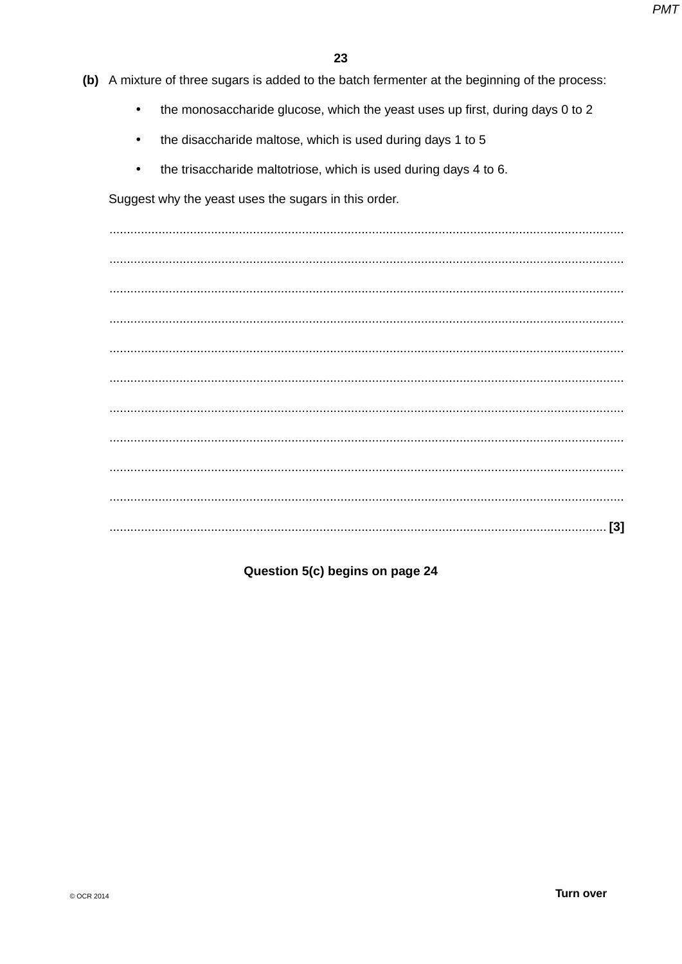- (b) A mixture of three sugars is added to the batch fermenter at the beginning of the process:
	- the monosaccharide glucose, which the yeast uses up first, during days 0 to 2  $\bullet$
	- the disaccharide maltose, which is used during days 1 to 5  $\bullet$
	- the trisaccharide maltotriose, which is used during days 4 to 6.  $\bullet$

Suggest why the yeast uses the sugars in this order.

## Question 5(c) begins on page 24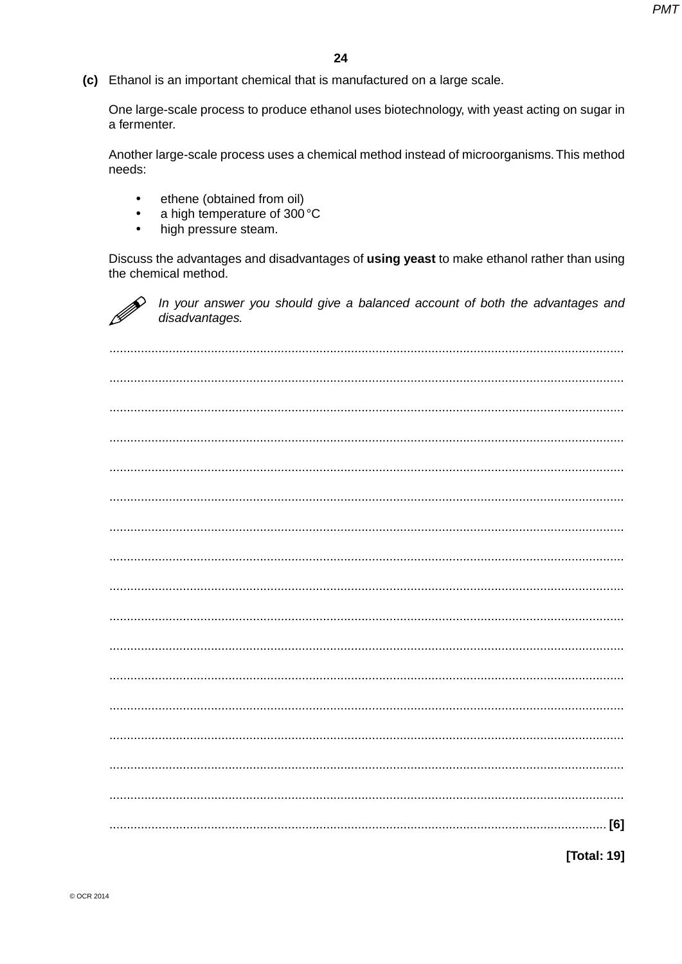(c) Ethanol is an important chemical that is manufactured on a large scale.

One large-scale process to produce ethanol uses biotechnology, with yeast acting on sugar in a fermenter.

Another large-scale process uses a chemical method instead of microorganisms. This method needs:

- ethene (obtained from oil)  $\bullet$
- a high temperature of 300 °C  $\bullet$
- $\bullet$ high pressure steam.

Discuss the advantages and disadvantages of using yeast to make ethanol rather than using the chemical method.



In your answer you should give a balanced account of both the advantages and disadvantages.

[Total: 19]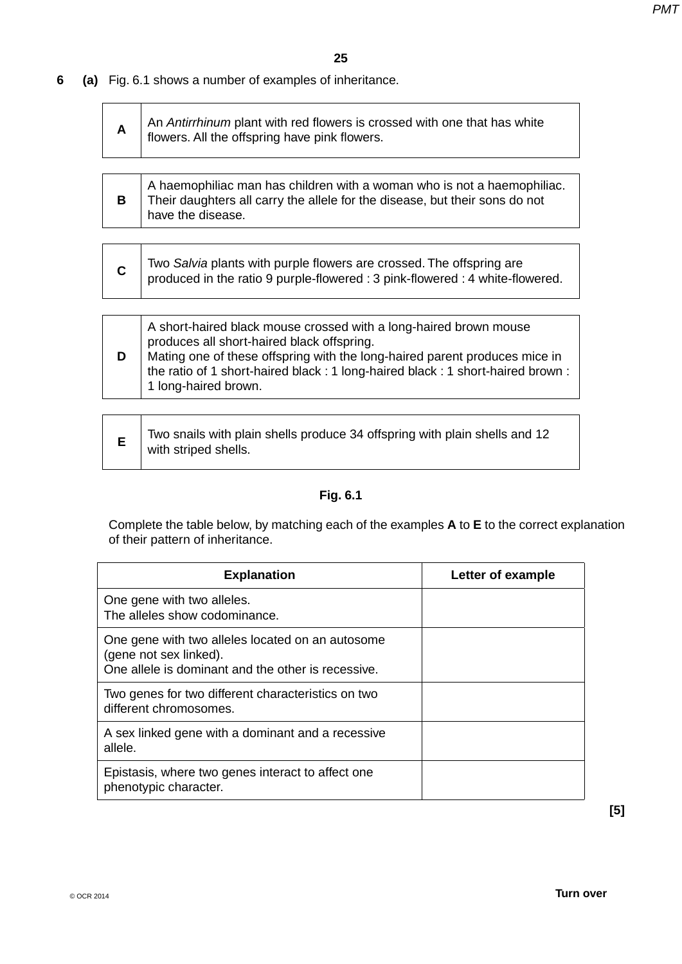# **6 (a)** Fig. 6.1 shows a number of examples of inheritance.

| A | An Antirrhinum plant with red flowers is crossed with one that has white flowers. All the offspring have pink flowers. |
|---|------------------------------------------------------------------------------------------------------------------------|
|   |                                                                                                                        |

| A haemophiliac man has children with a woman who is not a haemophiliac.     |
|-----------------------------------------------------------------------------|
| Their daughters all carry the allele for the disease, but their sons do not |
| have the disease.                                                           |

|  | Two Salvia plants with purple flowers are crossed. The offspring are<br>produced in the ratio 9 purple-flowered : 3 pink-flowered : 4 white-flowered. |
|--|-------------------------------------------------------------------------------------------------------------------------------------------------------|
|--|-------------------------------------------------------------------------------------------------------------------------------------------------------|



|  | Two snails with plain shells produce 34 offspring with plain shells and 12<br>with striped shells. |
|--|----------------------------------------------------------------------------------------------------|
|--|----------------------------------------------------------------------------------------------------|

# **Fig. 6.1**

Complete the table below, by matching each of the examples **A** to **E** to the correct explanation of their pattern of inheritance.

| <b>Explanation</b>                                                                                                               | Letter of example |
|----------------------------------------------------------------------------------------------------------------------------------|-------------------|
| One gene with two alleles.<br>The alleles show codominance.                                                                      |                   |
| One gene with two alleles located on an autosome<br>(gene not sex linked).<br>One allele is dominant and the other is recessive. |                   |
| Two genes for two different characteristics on two<br>different chromosomes.                                                     |                   |
| A sex linked gene with a dominant and a recessive<br>allele.                                                                     |                   |
| Epistasis, where two genes interact to affect one<br>phenotypic character.                                                       |                   |

**[5]**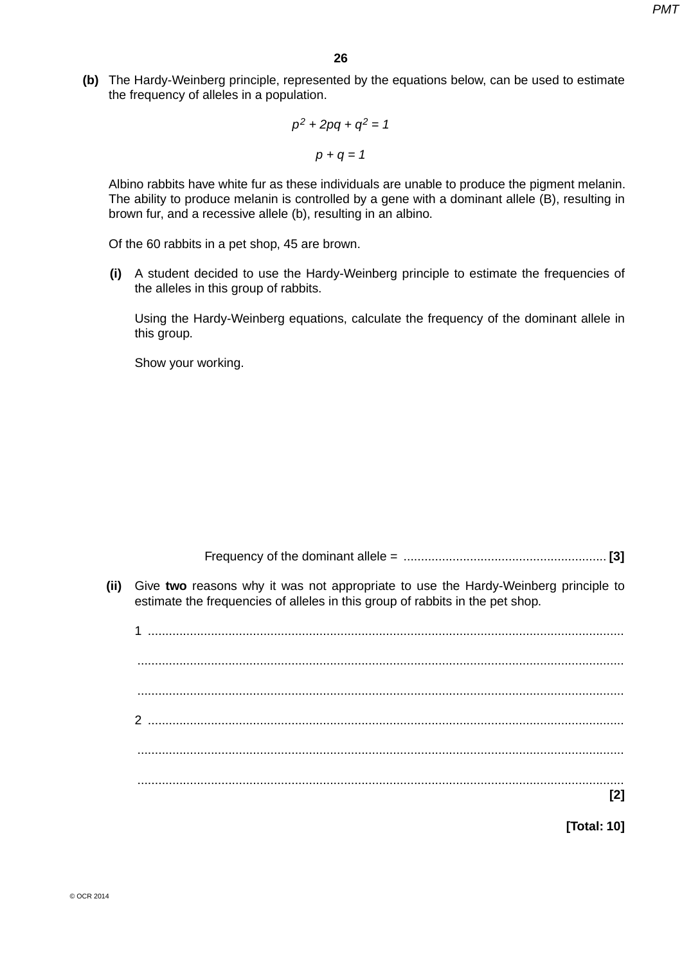**(b)** The Hardy-Weinberg principle, represented by the equations below, can be used to estimate the frequency of alleles in a population.

$$
p^2 + 2pq + q^2 = 1
$$

$$
p + q = 1
$$

Albino rabbits have white fur as these individuals are unable to produce the pigment melanin. The ability to produce melanin is controlled by a gene with a dominant allele (B), resulting in brown fur, and a recessive allele (b), resulting in an albino.

Of the 60 rabbits in a pet shop, 45 are brown.

 **(i)** A student decided to use the Hardy-Weinberg principle to estimate the frequencies of the alleles in this group of rabbits.

Using the Hardy-Weinberg equations, calculate the frequency of the dominant allele in this group.

Show your working.

Frequency of the dominant allele = .......................................................... **[3]**

 **(ii)** Give **two** reasons why it was not appropriate to use the Hardy-Weinberg principle to estimate the frequencies of alleles in this group of rabbits in the pet shop.

1 ........................................................................................................................................ ........................................................................................................................................... ........................................................................................................................................... 2 ........................................................................................................................................ ........................................................................................................................................... ........................................................................................................................................... **[2]**

**[Total: 10]**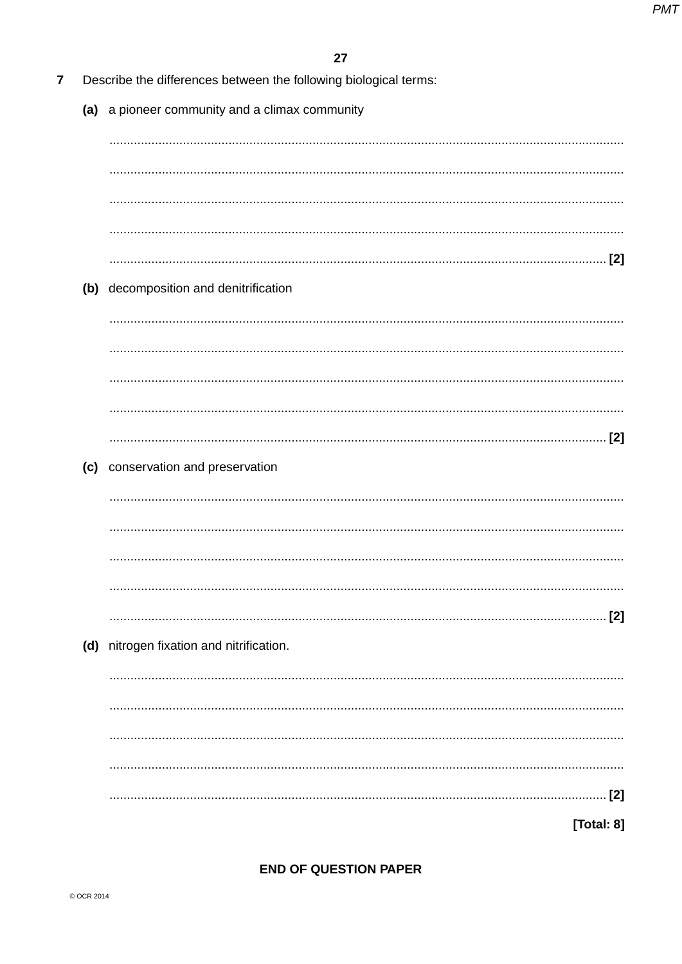| (a) a pioneer community and a climax community |
|------------------------------------------------|
|                                                |
|                                                |
|                                                |
|                                                |
|                                                |
| (b) decomposition and denitrification          |
|                                                |
|                                                |
|                                                |
|                                                |
|                                                |
|                                                |
|                                                |
| (c) conservation and preservation              |
|                                                |
|                                                |
|                                                |
|                                                |
|                                                |
|                                                |
| (d) nitrogen fixation and nitrification.       |
|                                                |
|                                                |
|                                                |
|                                                |

## **END OF QUESTION PAPER**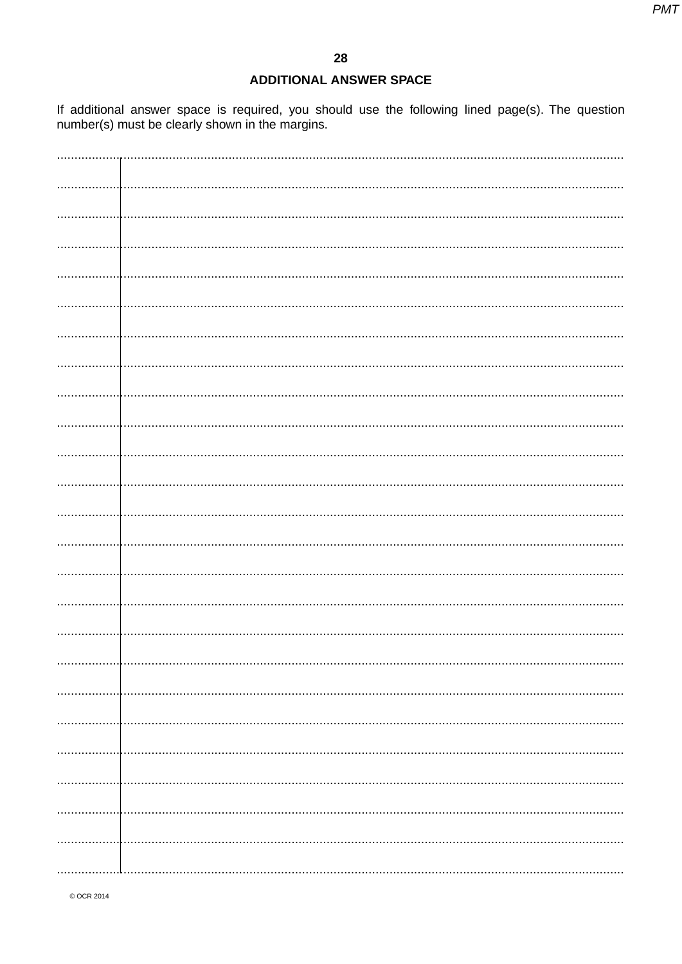#### **ADDITIONAL ANSWER SPACE**

If additional answer space is required, you should use the following lined page(s). The question number(s) must be clearly shown in the margins.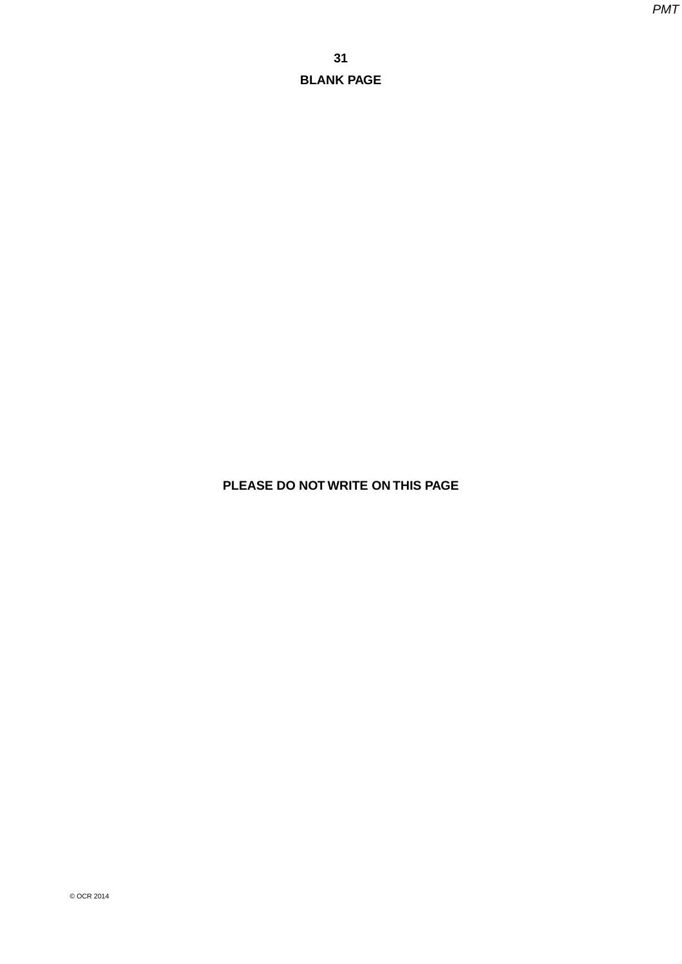**PLEASE DO NOT WRITE ON THIS PAGE**